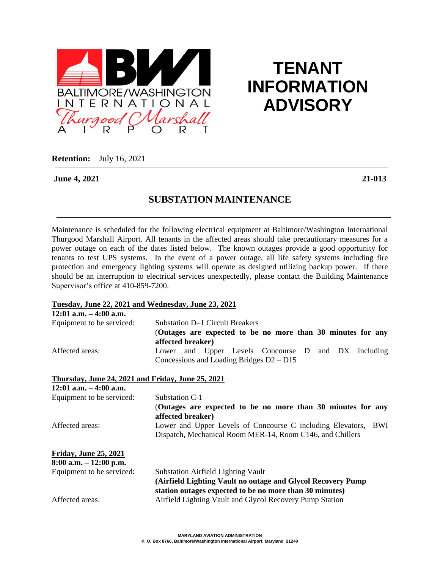

# **TENANT INFORMATION ADVISORY**

**Retention:** July 16, 2021

**June 4, 2021 21-013**

### **SUBSTATION MAINTENANCE**

Maintenance is scheduled for the following electrical equipment at Baltimore/Washington International Thurgood Marshall Airport. All tenants in the affected areas should take precautionary measures for a power outage on each of the dates listed below. The known outages provide a good opportunity for tenants to test UPS systems. In the event of a power outage, all life safety systems including fire protection and emergency lighting systems will operate as designed utilizing backup power. If there should be an interruption to electrical services unexpectedly, please contact the Building Maintenance Supervisor's office at 410-859-7200.

#### **Tuesday, June 22, 2021 and Wednesday, June 23, 2021**

| $12:01$ a.m. $-4:00$ a.m.                         |                                                                                  |  |
|---------------------------------------------------|----------------------------------------------------------------------------------|--|
| Equipment to be serviced:                         | Substation D-1 Circuit Breakers                                                  |  |
|                                                   | (Outages are expected to be no more than 30 minutes for any<br>affected breaker) |  |
| Affected areas:                                   | Lower and Upper Levels Concourse D and DX including                              |  |
|                                                   | Concessions and Loading Bridges $D2 - D15$                                       |  |
| Thursday, June 24, 2021 and Friday, June 25, 2021 |                                                                                  |  |
| $12:01$ a.m. $-4:00$ a.m.                         |                                                                                  |  |
| Equipment to be serviced:                         | Substation C-1                                                                   |  |
|                                                   | (Outages are expected to be no more than 30 minutes for any<br>affected breaker) |  |
| Affected areas:                                   | Lower and Upper Levels of Concourse C including Elevators, BWI                   |  |
|                                                   | Dispatch, Mechanical Room MER-14, Room C146, and Chillers                        |  |
| <b>Friday, June 25, 2021</b>                      |                                                                                  |  |
| $8:00$ a.m. $-12:00$ p.m.                         |                                                                                  |  |
| Equipment to be serviced:                         | <b>Substation Airfield Lighting Vault</b>                                        |  |
|                                                   | (Airfield Lighting Vault no outage and Glycol Recovery Pump)                     |  |
|                                                   | station outages expected to be no more than 30 minutes)                          |  |
| Affected areas:                                   | Airfield Lighting Vault and Glycol Recovery Pump Station                         |  |